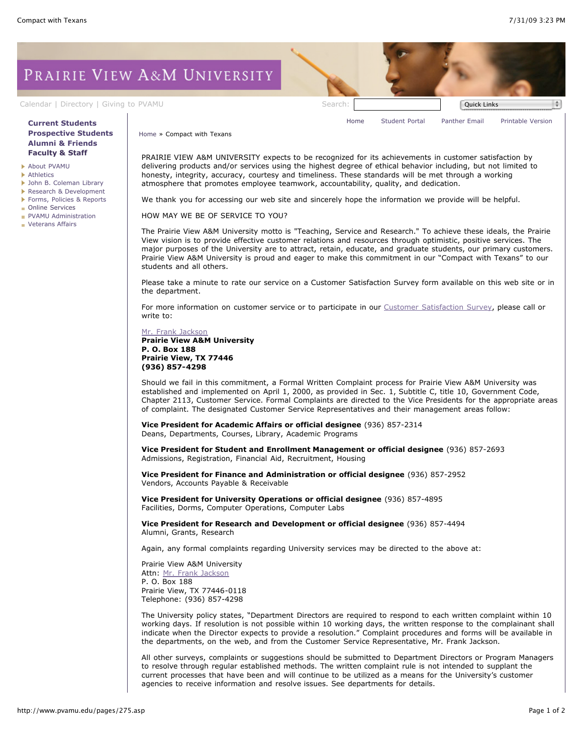PRAIRIE VIEW A&M UNIVERSITY

## **[Current Students](http://www.pvamu.edu/pages/106.asp) [Prospective Students](http://www.pvamu.edu/pages/113.asp) [Alumni & Friends](http://www.pvamu.edu/pages/103.asp) [Faculty & Staff](http://www.pvamu.edu/pages/107.asp)**

- [About PVAMU](http://www.pvamu.edu/pages/119.asp)
- **[Athletics](http://www.pvamu.edu/pages/104.asp)**
- [John B. Coleman Library](http://www.pvamu.edu/pages/3585.asp)
- [Research & Development](http://www.pvamu.edu/pages/108.asp)
- [Forms, Policies & Reports](http://www.pvamu.edu/pages/5302.asp)
- **[Online Services](http://www.pvamu.edu/pages/109.asp)**
- **[PVAMU Administration](http://www.pvamu.edu/pages/5303.asp)**
- **[Veterans Affairs](http://www.pvamu.edu/pages/4721.asp)**

[Calendar](http://www.pvamu.edu/pages/105.asp) | [Directory](http://www.pvamu.edu/pages/225.asp) | [Giving to PVAMU](http://www.pvamu.edu/giving) Search: Search: Search: Quick Links

[Home](http://www.pvamu.edu/pages/1.asp) [Student Portal](http://panthertracks.pvamu.edu/) [Panther Email](http://www.pvamu.edu/pages/1740.asp) [Printable Version](http://www.pvamu.edu/print/275.asp)

[Home](http://www.pvamu.edu/pages/1.asp) » Compact with Texans

PRAIRIE VIEW A&M UNIVERSITY expects to be recognized for its achievements in customer satisfaction by delivering products and/or services using the highest degree of ethical behavior including, but not limited to honesty, integrity, accuracy, courtesy and timeliness. These standards will be met through a working atmosphere that promotes employee teamwork, accountability, quality, and dedication.

We thank you for accessing our web site and sincerely hope the information we provide will be helpful.

HOW MAY WE BE OF SERVICE TO YOU?

The Prairie View A&M University motto is "Teaching, Service and Research." To achieve these ideals, the Prairie View vision is to provide effective customer relations and resources through optimistic, positive services. The major purposes of the University are to attract, retain, educate, and graduate students, our primary customers. Prairie View A&M University is proud and eager to make this commitment in our "Compact with Texans" to our students and all others.

Please take a minute to rate our service on a Customer Satisfaction Survey form available on this web site or in the department.

For more information on customer service or to participate in our [Customer Satisfaction Survey,](http://survey.pvamu.edu/survey.aspx?surveyid=33) please call or write to:

[Mr. Frank Jackson](mailto:frank_jackson@pvamu.edu)

**Prairie View A&M University P. O. Box 188 Prairie View, TX 77446 (936) 857-4298**

Should we fail in this commitment, a Formal Written Complaint process for Prairie View A&M University was established and implemented on April 1, 2000, as provided in Sec. 1, Subtitle C, title 10, Government Code, Chapter 2113, Customer Service. Formal Complaints are directed to the Vice Presidents for the appropriate areas of complaint. The designated Customer Service Representatives and their management areas follow:

**Vice President for Academic Affairs or official designee** (936) 857-2314 Deans, Departments, Courses, Library, Academic Programs

**Vice President for Student and Enrollment Management or official designee** (936) 857-2693 Admissions, Registration, Financial Aid, Recruitment, Housing

**Vice President for Finance and Administration or official designee** (936) 857-2952 Vendors, Accounts Payable & Receivable

**Vice President for University Operations or official designee** (936) 857-4895 Facilities, Dorms, Computer Operations, Computer Labs

**Vice President for Research and Development or official designee** (936) 857-4494 Alumni, Grants, Research

Again, any formal complaints regarding University services may be directed to the above at:

Prairie View A&M University Attn: [Mr. Frank Jackson](mailto:frank_jackson@pvamu.edu) P. O. Box 188 Prairie View, TX 77446-0118 Telephone: (936) 857-4298

The University policy states, "Department Directors are required to respond to each written complaint within 10 working days. If resolution is not possible within 10 working days, the written response to the complainant shall indicate when the Director expects to provide a resolution." Complaint procedures and forms will be available in the departments, on the web, and from the Customer Service Representative, Mr. Frank Jackson.

All other surveys, complaints or suggestions should be submitted to Department Directors or Program Managers to resolve through regular established methods. The written complaint rule is not intended to supplant the current processes that have been and will continue to be utilized as a means for the University's customer agencies to receive information and resolve issues. See departments for details.